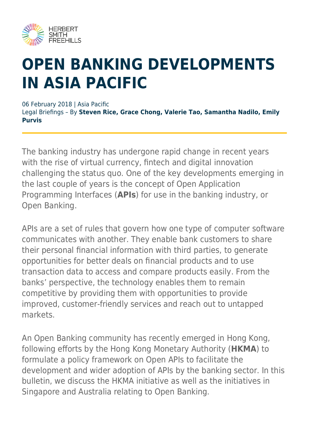

# **OPEN BANKING DEVELOPMENTS IN ASIA PACIFIC**

06 February 2018 | Asia Pacific

Legal Briefings – By **Steven Rice, Grace Chong, Valerie Tao, Samantha Nadilo, Emily Purvis**

The banking industry has undergone rapid change in recent years with the rise of virtual currency, fintech and digital innovation challenging the status quo. One of the key developments emerging in the last couple of years is the concept of Open Application Programming Interfaces (**APIs**) for use in the banking industry, or Open Banking.

APIs are a set of rules that govern how one type of computer software communicates with another. They enable bank customers to share their personal financial information with third parties, to generate opportunities for better deals on financial products and to use transaction data to access and compare products easily. From the banks' perspective, the technology enables them to remain competitive by providing them with opportunities to provide improved, customer-friendly services and reach out to untapped markets.

An Open Banking community has recently emerged in Hong Kong, following efforts by the Hong Kong Monetary Authority (**HKMA**) to formulate a policy framework on Open APIs to facilitate the development and wider adoption of APIs by the banking sector. In this bulletin, we discuss the HKMA initiative as well as the initiatives in Singapore and Australia relating to Open Banking.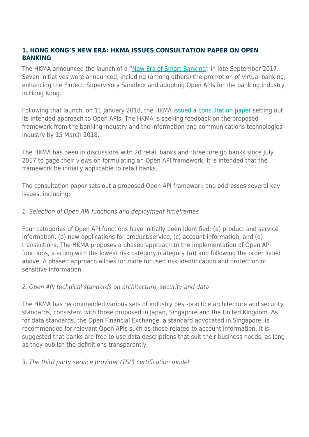#### **1. HONG KONG'S NEW ERA: HKMA ISSUES CONSULTATION PAPER ON OPEN BANKING**

The HKMA announced the launch of a "[New Era of Smart Banking"](http://www.hkma.gov.hk/eng/key-information/press-releases/2017/20170929-3.shtml) in late September 2017. Seven initiatives were announced, including (among others) the promotion of virtual banking, enhancing the Fintech Supervisory Sandbox and adopting Open APIs for the banking industry in Hong Kong.

Following that launch, on 11 January 2018, the HKMA [issued](http://www.hkma.gov.hk/eng/key-information/press-releases/2018/20180111-3.shtml) a [consultation paper](http://www.hkma.gov.hk/media/eng/doc/key-functions/finanical-infrastructure/infrastructure/20180111e1.pdf) setting out its intended approach to Open APIs. The HKMA is seeking feedback on the proposed framework from the banking industry and the information and communications technologies industry by 15 March 2018.

The HKMA has been in discussions with 20 retail banks and three foreign banks since July 2017 to gage their views on formulating an Open API framework. It is intended that the framework be initially applicable to retail banks.

The consultation paper sets out a proposed Open API framework and addresses several key issues, including:

#### 1. Selection of Open API functions and deployment timeframes

Four categories of Open API functions have initially been identified: (a) product and service information, (b) new applications for product/service, (c) account information, and (d) transactions. The HKMA proposes a phased approach to the implementation of Open API functions, starting with the lowest risk category (category (a)) and following the order listed above. A phased approach allows for more focused risk identification and protection of sensitive information.

#### 2. Open API technical standards on architecture, security and data

The HKMA has recommended various sets of industry best-practice architecture and security standards, consistent with those proposed in Japan, Singapore and the United Kingdom. As for data standards, the Open Financial Exchange, a standard advocated in Singapore, is recommended for relevant Open APIs such as those related to account information. It is suggested that banks are free to use data descriptions that suit their business needs, as long as they publish the definitions transparently.

#### 3. The third party service provider (TSP) certification model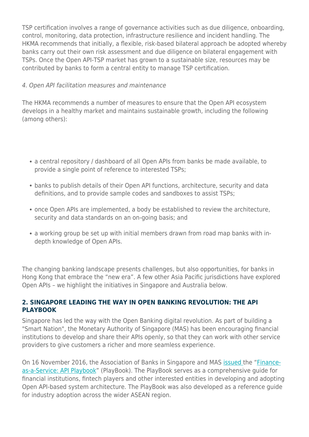TSP certification involves a range of governance activities such as due diligence, onboarding, control, monitoring, data protection, infrastructure resilience and incident handling. The HKMA recommends that initially, a flexible, risk-based bilateral approach be adopted whereby banks carry out their own risk assessment and due diligence on bilateral engagement with TSPs. Once the Open API-TSP market has grown to a sustainable size, resources may be contributed by banks to form a central entity to manage TSP certification.

#### 4. Open API facilitation measures and maintenance

The HKMA recommends a number of measures to ensure that the Open API ecosystem develops in a healthy market and maintains sustainable growth, including the following (among others):

- a central repository / dashboard of all Open APIs from banks be made available, to provide a single point of reference to interested TSPs;
- banks to publish details of their Open API functions, architecture, security and data definitions, and to provide sample codes and sandboxes to assist TSPs;
- once Open APIs are implemented, a body be established to review the architecture, security and data standards on an on-going basis; and
- a working group be set up with initial members drawn from road map banks with indepth knowledge of Open APIs.

The changing banking landscape presents challenges, but also opportunities, for banks in Hong Kong that embrace the "new era". A few other Asia Pacific jurisdictions have explored Open APIs – we highlight the initiatives in Singapore and Australia below.

#### **2. SINGAPORE LEADING THE WAY IN OPEN BANKING REVOLUTION: THE API PLAYBOOK**

Singapore has led the way with the Open Banking digital revolution. As part of building a "Smart Nation", the Monetary Authority of Singapore (MAS) has been encouraging financial institutions to develop and share their APIs openly, so that they can work with other service providers to give customers a richer and more seamless experience.

On 16 November 2016, the Association of Banks in Singapore and MAS [issued t](https://abs.org.sg/docs/library/mediarelease_20161116.pdf)he ["Finance](http://www.mas.gov.sg/~/media/Smart%20Financial%20Centre/API/ABSMASAPIPlaybook.pdf)[as-a-Service: API Playbook](http://www.mas.gov.sg/~/media/Smart%20Financial%20Centre/API/ABSMASAPIPlaybook.pdf)" (PlayBook). The PlayBook serves as a comprehensive quide for financial institutions, fintech players and other interested entities in developing and adopting Open API-based system architecture. The PlayBook was also developed as a reference guide for industry adoption across the wider ASEAN region.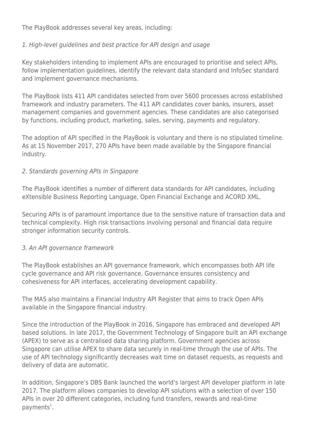The PlayBook addresses several key areas, including:

#### 1. High-level guidelines and best practice for API design and usage

Key stakeholders intending to implement APIs are encouraged to prioritise and select APIs, follow implementation guidelines, identify the relevant data standard and InfoSec standard and implement governance mechanisms.

The PlayBook lists 411 API candidates selected from over 5600 processes across established framework and industry parameters. The 411 API candidates cover banks, insurers, asset management companies and government agencies. These candidates are also categorised by functions, including product, marketing, sales, serving, payments and regulatory.

The adoption of API specified in the PlayBook is voluntary and there is no stipulated timeline. As at 15 November 2017, 270 APIs have been made available by the Singapore financial industry.

#### 2. Standards governing APIs in Singapore

The PlayBook identifies a number of different data standards for API candidates, including eXtensible Business Reporting Language, Open Financial Exchange and ACORD XML.

Securing APIs is of paramount importance due to the sensitive nature of transaction data and technical complexity. High risk transactions involving personal and financial data require stronger information security controls.

#### 3. An API governance framework

The PlayBook establishes an API governance framework, which encompasses both API life cycle governance and API risk governance. Governance ensures consistency and cohesiveness for API interfaces, accelerating development capability.

The MAS also maintains a Financial Industry API Register that aims to track Open APIs available in the Singapore financial industry.

Since the introduction of the PlayBook in 2016, Singapore has embraced and developed API based solutions. In late 2017, the Government Technology of Singapore built an API exchange (APEX) to serve as a centralised data sharing platform. Government agencies across Singapore can utilise APEX to share data securely in real-time through the use of APIs. The use of API technology significantly decreases wait time on dataset requests, as requests and delivery of data are automatic.

In addition, Singapore's DBS Bank launched the world's largest API developer platform in late 2017. The platform allows companies to develop API solutions with a selection of over 150 APIs in over 20 different categories, including fund transfers, rewards and real-time payments<sup>1</sup>.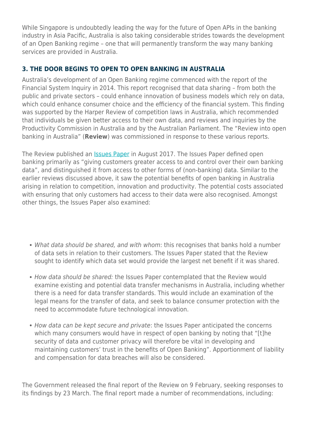While Singapore is undoubtedly leading the way for the future of Open APIs in the banking industry in Asia Pacific, Australia is also taking considerable strides towards the development of an Open Banking regime – one that will permanently transform the way many banking services are provided in Australia.

#### **3. THE DOOR BEGINS TO OPEN TO OPEN BANKING IN AUSTRALIA**

Australia's development of an Open Banking regime commenced with the report of the Financial System Inquiry in 2014. This report recognised that data sharing – from both the public and private sectors – could enhance innovation of business models which rely on data, which could enhance consumer choice and the efficiency of the financial system. This finding was supported by the Harper Review of competition laws in Australia, which recommended that individuals be given better access to their own data, and reviews and inquiries by the Productivity Commission in Australia and by the Australian Parliament. The "Review into open banking in Australia" (**Review**) was commissioned in response to these various reports.

The Review published an [Issues Paper](https://treasury.gov.au/review/review-into-open-banking-in-australia/issues-paper/) in August 2017. The Issues Paper defined open banking primarily as "giving customers greater access to and control over their own banking data", and distinguished it from access to other forms of (non-banking) data. Similar to the earlier reviews discussed above, it saw the potential benefits of open banking in Australia arising in relation to competition, innovation and productivity. The potential costs associated with ensuring that only customers had access to their data were also recognised. Amongst other things, the Issues Paper also examined:

- What data should be shared, and with whom: this recognises that banks hold a number of data sets in relation to their customers. The Issues Paper stated that the Review sought to identify which data set would provide the largest net benefit if it was shared.
- How data should be shared: the Issues Paper contemplated that the Review would examine existing and potential data transfer mechanisms in Australia, including whether there is a need for data transfer standards. This would include an examination of the legal means for the transfer of data, and seek to balance consumer protection with the need to accommodate future technological innovation.
- How data can be kept secure and private: the Issues Paper anticipated the concerns which many consumers would have in respect of open banking by noting that "[t]he security of data and customer privacy will therefore be vital in developing and maintaining customers' trust in the benefits of Open Banking". Apportionment of liability and compensation for data breaches will also be considered.

The Government released the final report of the Review on 9 February, seeking responses to its findings by 23 March. The final report made a number of recommendations, including: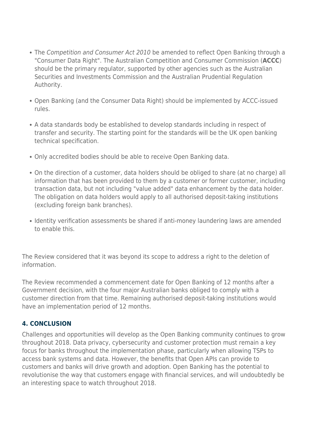- The Competition and Consumer Act 2010 be amended to reflect Open Banking through a "Consumer Data Right". The Australian Competition and Consumer Commission (**ACCC**) should be the primary regulator, supported by other agencies such as the Australian Securities and Investments Commission and the Australian Prudential Regulation Authority.
- Open Banking (and the Consumer Data Right) should be implemented by ACCC-issued rules.
- A data standards body be established to develop standards including in respect of transfer and security. The starting point for the standards will be the UK open banking technical specification.
- Only accredited bodies should be able to receive Open Banking data.
- On the direction of a customer, data holders should be obliged to share (at no charge) all information that has been provided to them by a customer or former customer, including transaction data, but not including "value added" data enhancement by the data holder. The obligation on data holders would apply to all authorised deposit-taking institutions (excluding foreign bank branches).
- Identity verification assessments be shared if anti-money laundering laws are amended to enable this.

The Review considered that it was beyond its scope to address a right to the deletion of information.

The Review recommended a commencement date for Open Banking of 12 months after a Government decision, with the four major Australian banks obliged to comply with a customer direction from that time. Remaining authorised deposit-taking institutions would have an implementation period of 12 months.

#### **4. CONCLUSION**

Challenges and opportunities will develop as the Open Banking community continues to grow throughout 2018. Data privacy, cybersecurity and customer protection must remain a key focus for banks throughout the implementation phase, particularly when allowing TSPs to access bank systems and data. However, the benefits that Open APIs can provide to customers and banks will drive growth and adoption. Open Banking has the potential to revolutionise the way that customers engage with financial services, and will undoubtedly be an interesting space to watch throughout 2018.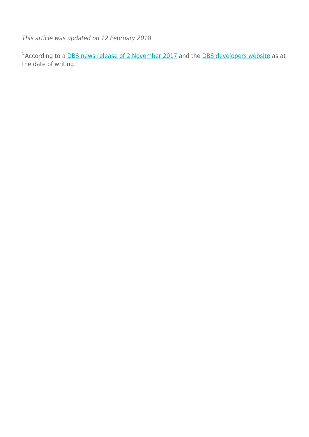This article was updated on 12 February 2018

<sup>1</sup> According to a **[DBS news release of 2 November 2017](https://www.dbs.com/newsroom/Reimagining_banking_DBS_launches_worlds_largest_banking_API_developer_platform)** and the **DBS developers website** as at the date of writing.